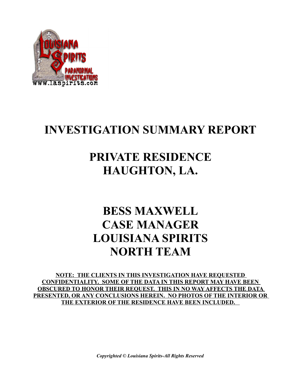

# **INVESTIGATION SUMMARY REPORT**

## **PRIVATE RESIDENCE HAUGHTON, LA.**

# **BESS MAXWELL CASE MANAGER LOUISIANA SPIRITS NORTH TEAM**

**NOTE: THE CLIENTS IN THIS INVESTIGATION HAVE REQUESTED CONFIDENTIALITY. SOME OF THE DATA IN THIS REPORT MAY HAVE BEEN OBSCURED TO HONOR THEIR REQUEST. THIS IN NO WAY AFFECTS THE DATA PRESENTED, OR ANY CONCLUSIONS HEREIN. NO PHOTOS OF THE INTERIOR OR THE EXTERIOR OF THE RESIDENCE HAVE BEEN INCLUDED.** 

*Copyrighted © Louisiana Spirits-All Rights Reserved*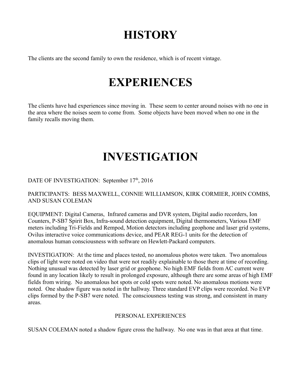# **HISTORY**

The clients are the second family to own the residence, which is of recent vintage.

## **EXPERIENCES**

The clients have had experiences since moving in. These seem to center around noises with no one in the area where the noises seem to come from. Some objects have been moved when no one in the family recalls moving them.

## **INVESTIGATION**

DATE OF INVESTIGATION: September 17<sup>th</sup>, 2016

PARTICIPANTS: BESS MAXWELL, CONNIE WILLIAMSON, KIRK CORMIER, JOHN COMBS, AND SUSAN COLEMAN

EQUIPMENT: Digital Cameras, Infrared cameras and DVR system, Digital audio recorders, Ion Counters, P-SB7 Spirit Box, Infra-sound detection equipment, Digital thermometers, Various EMF meters including Tri-Fields and Rempod, Motion detectors including geophone and laser grid systems, Ovilus interactive voice communications device, and PEAR REG-1 units for the detection of anomalous human consciousness with software on Hewlett-Packard computers.

INVESTIGATION: At the time and places tested, no anomalous photos were taken. Two anomalous clips of light were noted on video that were not readily explainable to those there at time of recording. Nothing unusual was detected by laser grid or geophone. No high EMF fields from AC current were found in any location likely to result in prolonged exposure, although there are some areas of high EMF fields from wiring. No anomalous hot spots or cold spots were noted. No anomalous motions were noted. One shadow figure was noted in thr hallway. Three standard EVP clips were recorded. No EVP clips formed by the P-SB7 were noted. The consciousness testing was strong, and consistent in many areas.

#### PERSONAL EXPERIENCES

SUSAN COLEMAN noted a shadow figure cross the hallway. No one was in that area at that time.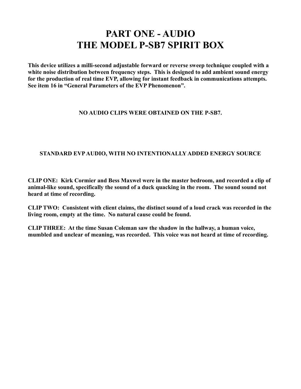### **PART ONE - AUDIO THE MODEL P-SB7 SPIRIT BOX**

**This device utilizes a milli-second adjustable forward or reverse sweep technique coupled with a white noise distribution between frequency steps. This is designed to add ambient sound energy for the production of real time EVP, allowing for instant feedback in communications attempts. See item 16 in "General Parameters of the EVP Phenomenon".** 

#### **NO AUDIO CLIPS WERE OBTAINED ON THE P-SB7.**

#### **STANDARD EVP AUDIO, WITH NO INTENTIONALLY ADDED ENERGY SOURCE**

**CLIP ONE: Kirk Cormier and Bess Maxwel were in the master bedroom, and recorded a clip of animal-like sound, specifically the sound of a duck quacking in the room. The sound sound not heard at time of recording.**

**CLIP TWO: Consistent with client claims, the distinct sound of a loud crack was recorded in the living room, empty at the time. No natural cause could be found.**

**CLIP THREE: At the time Susan Coleman saw the shadow in the hallway, a human voice, mumbled and unclear of meaning, was recorded. This voice was not heard at time of recording.**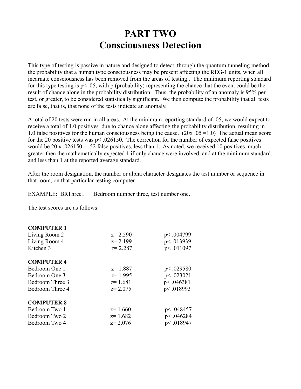### **PART TWO Consciousness Detection**

This type of testing is passive in nature and designed to detect, through the quantum tunneling method, the probability that a human type consciousness may be present affecting the REG-1 units, when all incarnate consciousness has been removed from the areas of testing.. The minimum reporting standard for this type testing is p< .05, with p (probability) representing the chance that the event could be the result of chance alone in the probability distribution. Thus, the probability of an anomaly is 95% per test, or greater, to be considered statistically significant. We then compute the probability that all tests are false, that is, that none of the tests indicate an anomaly.

A total of 20 tests were run in all areas. At the minimum reporting standard of .05, we would expect to receive a total of 1.0 positives due to chance alone affecting the probability distribution, resulting in 1.0 false positives for the human consciousness being the cause.  $(20x.05=1.0)$  The actual mean score for the 20 positive tests was  $p < .026150$ . The correction for the number of expected false positives would be 20 x  $.026150 = .52$  false positives, less than 1. As noted, we received 10 positives, much greater then the mathematically expected 1 if only chance were involved, and at the minimum standard, and less than 1 at the reported average standard.

After the room designation, the number or alpha character designates the test number or sequence in that room, on that particular testing computer.

EXAMPLE: BRThree1 Bedroom number three, test number one.

The test scores are as follows:

#### **COMPUTER 1**

| Living Room 2     | $z = 2.590$ | p<.004799   |
|-------------------|-------------|-------------|
| Living Room 4     | $z = 2.199$ | p < .013939 |
| Kitchen 3         | $z = 2.287$ | p<.011097   |
| <b>COMPUTER 4</b> |             |             |
| Bedroom One 1     | $z=1.887$   | p<.029580   |
| Bedroom One 3     | $z=1.995$   | p<.023021   |
| Bedroom Three 3   | $z=1.681$   | p<.046381   |
| Bedroom Three 4   | $z = 2.075$ | p <. 018993 |
| <b>COMPUTER 8</b> |             |             |
| Bedroom Two 1     | $z=1.660$   | p<.048457   |
| Bedroom Two 2     | $z=1.682$   | p<.046284   |
| Bedroom Two 4     | $z = 2.076$ | p<.018947   |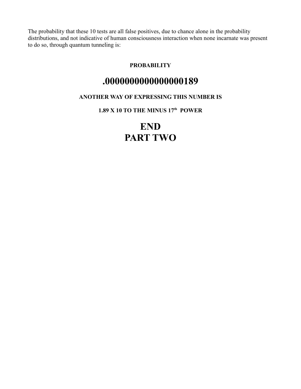The probability that these 10 tests are all false positives, due to chance alone in the probability distributions, and not indicative of human consciousness interaction when none incarnate was present to do so, through quantum tunneling is:

#### **PROBABILITY**

### **.0000000000000000189**

#### **ANOTHER WAY OF EXPRESSING THIS NUMBER IS**

**1.89 X 10 TO THE MINUS 17th POWER**

## **END PART TWO**